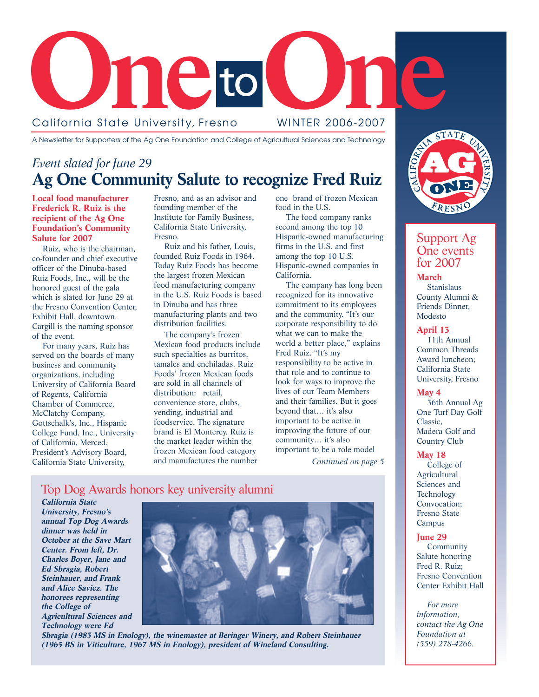

A Newsletter for Supporters of the Ag One Foundation and College of Agricultural Sciences and Technology

### *Event slated for June 29* **Ag One Community Salute to recognize Fred Ruiz**

**Local food manufacturer Frederick R. Ruiz is the recipient of the Ag One Foundation's Community Salute for 2007**

Ruiz, who is the chairman, co-founder and chief executive officer of the Dinuba-based Ruiz Foods, Inc., will be the honored guest of the gala which is slated for June 29 at the Fresno Convention Center, Exhibit Hall, downtown. Cargill is the naming sponsor of the event.

For many years, Ruiz has served on the boards of many business and community organizations, including University of California Board of Regents, California Chamber of Commerce, McClatchy Company, Gottschalk's, Inc., Hispanic College Fund, Inc., University of California, Merced, President's Advisory Board, California State University,

Fresno, and as an advisor and founding member of the Institute for Family Business, California State University, Fresno.

Ruiz and his father, Louis, founded Ruiz Foods in 1964. Today Ruiz Foods has become the largest frozen Mexican food manufacturing company in the U.S. Ruiz Foods is based in Dinuba and has three manufacturing plants and two distribution facilities.

The company's frozen Mexican food products include such specialties as burritos, tamales and enchiladas. Ruiz Foods' frozen Mexican foods are sold in all channels of distribution: retail, convenience store, clubs, vending, industrial and foodservice. The signature brand is El Monterey. Ruiz is the market leader within the frozen Mexican food category and manufactures the number

one brand of frozen Mexican food in the U.S.

The food company ranks second among the top 10 Hispanic-owned manufacturing firms in the U.S. and first among the top 10 U.S. Hispanic-owned companies in California.

The company has long been recognized for its innovative commitment to its employees and the community. "It's our corporate responsibility to do what we can to make the world a better place," explains Fred Ruiz. "It's my responsibility to be active in that role and to continue to look for ways to improve the lives of our Team Members and their families. But it goes beyond that… it's also important to be active in improving the future of our community… it's also important to be a role model *Continued on page 5*

### Top Dog Awards honors key university alumni

**California State University, Fresno's annual Top Dog Awards dinner was held in October at the Save Mart Center. From left, Dr. Charles Boyer, Jane and Ed Sbragia, Robert Steinhauer, and Frank and Alice Saviez. The honorees representing the College of Agricultural Sciences and Technology were Ed**



**Sbragia (1985 MS in Enology), the winemaster at Beringer Winery, and Robert Steinhauer (1965 BS in Viticulture, 1967 MS in Enology), president of Wineland Consulting.**



### Support Ag One events for 2007

**March Stanislaus** County Alumni & Friends Dinner, Modesto

#### **April 13**

11th Annual Common Threads Award luncheon; California State University, Fresno

#### **May 4**

36th Annual Ag One Turf Day Golf Classic, Madera Golf and Country Club

#### **May 18**

College of Agricultural Sciences and **Technology** Convocation; Fresno State Campus

#### **June 29**

Community Salute honoring Fred R. Ruiz; Fresno Convention Center Exhibit Hall

*For more information, contact the Ag One Foundation at (559) 278-4266.*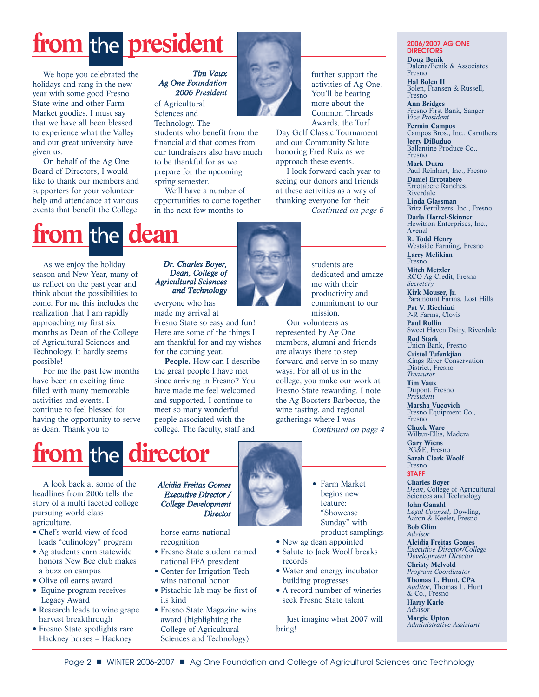# from the **president**

We hope you celebrated the holidays and rang in the new year with some good Fresno State wine and other Farm Market goodies. I must say that we have all been blessed to experience what the Valley and our great university have given us.

On behalf of the Ag One Board of Directors, I would like to thank our members and supporters for your volunteer help and attendance at various events that benefit the College

#### *Tim Vaux Ag One Foundation 2006 President*

of Agricultural Sciences and

Technology. The students who benefit from the financial aid that comes from our fundraisers also have much to be thankful for as we prepare for the upcoming spring semester.

We'll have a number of opportunities to come together in the next few months to



Day Golf Classic Tournament and our Community Salute honoring Fred Ruiz as we approach these events.

I look forward each year to seeing our donors and friends at these activities as a way of thanking everyone for their

*Continued on page 6*

# **from the dean**

As we enjoy the holiday season and New Year, many of us reflect on the past year and think about the possibilities to come. For me this includes the realization that I am rapidly approaching my first six months as Dean of the College of Agricultural Sciences and Technology. It hardly seems possible!

For me the past few months have been an exciting time filled with many memorable activities and events. I continue to feel blessed for having the opportunity to serve as dean. Thank you to

#### *Dr. Charles Boyer, Dean, College of Agricultural Sciences and Technology*

everyone who has made my arrival at

Fresno State so easy and fun! Here are some of the things I am thankful for and my wishes for the coming year.

**People.** How can I describe the great people I have met since arriving in Fresno? You have made me feel welcomed and supported. I continue to meet so many wonderful people associated with the college. The faculty, staff and



students are dedicated and amaze me with their productivity and commitment to our mission.

Our volunteers as represented by Ag One members, alumni and friends are always there to step forward and serve in so many ways. For all of us in the college, you make our work at Fresno State rewarding. I note the Ag Boosters Barbecue, the wine tasting, and regional gatherings where I was

*Continued on page 4*



A look back at some of the headlines from 2006 tells the story of a multi faceted college pursuing world class agriculture.

- Chef's world view of food leads "culinology" program
- Ag students earn statewide honors New Bee club makes a buzz on campus
- Olive oil earns award
- Equine program receives Legacy Award
- Research leads to wine grape harvest breakthrough
- Fresno State spotlights rare Hackney horses – Hackney

#### *Alcidia Freitas Gomes Executive Director / College Development Director*

horse earns national recognition

- Fresno State student named national FFA president
- Center for Irrigation Tech wins national honor
- Pistachio lab may be first of its kind
- Fresno State Magazine wins award (highlighting the College of Agricultural Sciences and Technology)



• Farm Market begins new feature: "Showcase Sunday" with product samplings

- New ag dean appointed
- Salute to Jack Woolf breaks records
- Water and energy incubator building progresses
- A record number of wineries seek Fresno State talent

Just imagine what 2007 will bring!

**2006/2007 AG ONE DIRECTORS Doug Benik** Dalena/Benik & Associates Fresno **Hal Bolen II** Bolen, Fransen & Russell, Fresno **Ann Bridges** Fresno First Bank, Sanger *Vice President* **Fermin Campos** Campos Bros., Inc., Caruthers **Jerry DiBuduo** Ballantine Produce Co., Fresno **Mark Dutra** Paul Reinhart, Inc., Fresno **Daniel Errotabere** Errotabere Ranches, Riverdale **Linda Glassman** Britz Fertilizers, Inc., Fresno **Darla Harrel-Skinner** Hewitson Enterprises, Inc., Avenal **R. Todd Henry** Westside Farming, Fresno **Larry Melikian** Fresno **Mitch Metzler** RCO Ag Credit, Fresno *Secretary* **Kirk Mouser, Jr.** Paramount Farms, Lost Hills **Pat V. Ricchiuti** P-R Farms, Clovis **Paul Rollin** Sweet Haven Dairy, Riverdale

**Rod Stark** Union Bank, Fresno **Cristel Tufenkjian** Kings River Conservation District, Fresno *Treasurer* **Tim Vaux** Dupont, Fresno *President* **Marsha Vucovich**

Fresno Equipment Co., Fresno

**Chuck Ware** Wilbur-Ellis, Madera **Gary Wiens** PG&E, Fresno **Sarah Clark Woolf**

Fresno **STAFF**

**Charles Boyer** *Dean*, College of Agricultural Sciences and Technology

**John Ganahl** *Legal Counsel*, Dowling, Aaron & Keeler, Fresno **Bob Glim**

*Advisor* **Alcidia Freitas Gomes** *Executive Director/College Development Director* **Christy Melvold** *Program Coordinator* **Thomas L. Hunt, CPA** *Auditor*, Thomas L. Hunt & Co., Fresno

**Harry Karle** *Advisor*

**Margie Upton** *Administrative Assistant*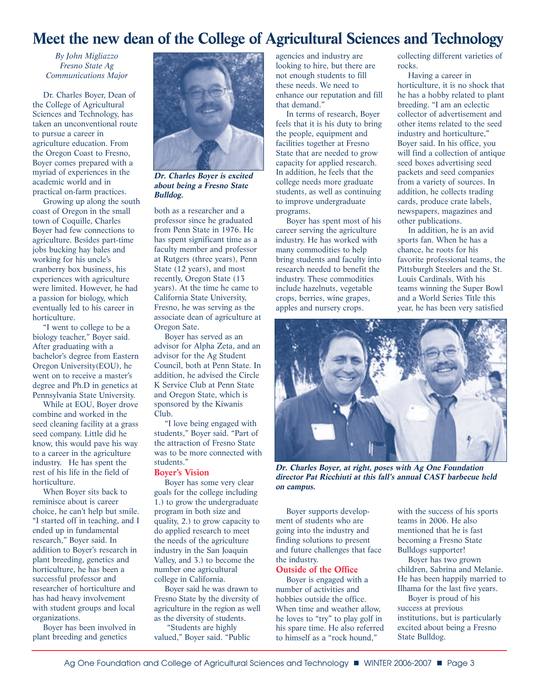### **Meet the new dean of the College of Agricultural Sciences and Technology**

*By John Migliazzo Fresno State Ag Communications Major*

Dr. Charles Boyer, Dean of the College of Agricultural Sciences and Technology, has taken an unconventional route to pursue a career in agriculture education. From the Oregon Coast to Fresno, Boyer comes prepared with a myriad of experiences in the academic world and in practical on-farm practices.

Growing up along the south coast of Oregon in the small town of Coquille, Charles Boyer had few connections to agriculture. Besides part-time jobs bucking hay bales and working for his uncle's cranberry box business, his experiences with agriculture were limited. However, he had a passion for biology, which eventually led to his career in horticulture.

"I went to college to be a biology teacher," Boyer said. After graduating with a bachelor's degree from Eastern Oregon University(EOU), he went on to receive a master's degree and Ph.D in genetics at Pennsylvania State University.

While at EOU, Boyer drove combine and worked in the seed cleaning facility at a grass seed company. Little did he know, this would pave his way to a career in the agriculture industry. He has spent the rest of his life in the field of horticulture.

When Boyer sits back to reminisce about is career choice, he can't help but smile. "I started off in teaching, and I ended up in fundamental research," Boyer said. In addition to Boyer's research in plant breeding, genetics and horticulture, he has been a successful professor and researcher of horticulture and has had heavy involvement with student groups and local organizations.

Boyer has been involved in plant breeding and genetics



**Dr. Charles Boyer is excited about being a Fresno State Bulldog.**

both as a researcher and a professor since he graduated from Penn State in 1976. He has spent significant time as a faculty member and professor at Rutgers (three years), Penn State (12 years), and most recently, Oregon State (13 years). At the time he came to California State University, Fresno, he was serving as the associate dean of agriculture at Oregon Sate.

Boyer has served as an advisor for Alpha Zeta, and an advisor for the Ag Student Council, both at Penn State. In addition, he advised the Circle K Service Club at Penn State and Oregon State, which is sponsored by the Kiwanis Club.

"I love being engaged with students," Boyer said. "Part of the attraction of Fresno State was to be more connected with students."

#### **Boyer's Vision**

Boyer has some very clear goals for the college including 1.) to grow the undergraduate program in both size and quality, 2.) to grow capacity to do applied research to meet the needs of the agriculture industry in the San Joaquin Valley, and 3.) to become the number one agricultural college in California.

Boyer said he was drawn to Fresno State by the diversity of agriculture in the region as well as the diversity of students.

"Students are highly valued," Boyer said. "Public

agencies and industry are looking to hire, but there are not enough students to fill these needs. We need to enhance our reputation and fill that demand."

In terms of research, Boyer feels that it is his duty to bring the people, equipment and facilities together at Fresno State that are needed to grow capacity for applied research. In addition, he feels that the college needs more graduate students, as well as continuing to improve undergraduate programs.

Boyer has spent most of his career serving the agriculture industry. He has worked with many commodities to help bring students and faculty into research needed to benefit the industry. These commodities include hazelnuts, vegetable crops, berries, wine grapes, apples and nursery crops.

collecting different varieties of rocks.

Having a career in horticulture, it is no shock that he has a hobby related to plant breeding. "I am an eclectic collector of advertisement and other items related to the seed industry and horticulture," Boyer said. In his office, you will find a collection of antique seed boxes advertising seed packets and seed companies from a variety of sources. In addition, he collects trading cards, produce crate labels, newspapers, magazines and other publications.

In addition, he is an avid sports fan. When he has a chance, he roots for his favorite professional teams, the Pittsburgh Steelers and the St. Louis Cardinals. With his teams winning the Super Bowl and a World Series Title this year, he has been very satisfied



**Dr. Charles Boyer, at right, poses with Ag One Foundation director Pat Ricchiuti at this fall's annual CAST barbecue held on campus.**

Boyer supports development of students who are going into the industry and finding solutions to present and future challenges that face the industry.

#### **Outside of the Office**

Boyer is engaged with a number of activities and hobbies outside the office. When time and weather allow, he loves to "try" to play golf in his spare time. He also referred to himself as a "rock hound,"

with the success of his sports teams in 2006. He also mentioned that he is fast becoming a Fresno State Bulldogs supporter!

Boyer has two grown children, Sabrina and Melanie. He has been happily married to Ilhama for the last five years.

Boyer is proud of his success at previous institutions, but is particularly excited about being a Fresno State Bulldog.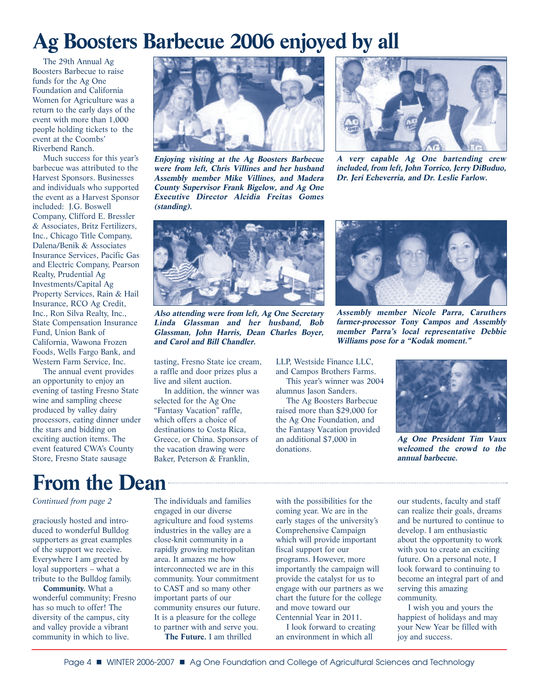# **Ag Boosters Barbecue 2006 enjoyed by all**

The 29th Annual Ag Boosters Barbecue to raise funds for the Ag One Foundation and California Women for Agriculture was a return to the early days of the event with more than 1,000 people holding tickets to the event at the Coombs' Riverbend Ranch.

Much success for this year's barbecue was attributed to the Harvest Sponsors. Businesses and individuals who supported the event as a Harvest Sponsor included: J.G. Boswell Company, Clifford E. Bressler & Associates, Britz Fertilizers, Inc., Chicago Title Company, Dalena/Benik & Associates Insurance Services, Pacific Gas and Electric Company, Pearson Realty, Prudential Ag Investments/Capital Ag Property Services, Rain & Hail Insurance, RCO Ag Credit, Inc., Ron Silva Realty, Inc., State Compensation Insurance Fund, Union Bank of California, Wawona Frozen Foods, Wells Fargo Bank, and Western Farm Service, Inc.

The annual event provides an opportunity to enjoy an evening of tasting Fresno State wine and sampling cheese produced by valley dairy processors, eating dinner under the stars and bidding on exciting auction items. The event featured CWA's County Store, Fresno State sausage



**Enjoying visiting at the Ag Boosters Barbecue were from left, Chris Villines and her husband Assembly member Mike Villines, and Madera County Supervisor Frank Bigelow, and Ag One Executive Director Alcidia Freitas Gomes (standing).**



**A very capable Ag One bartending crew included, from left, John Torrico, Jerry DiBuduo, Dr. Jeri Echeverria, and Dr. Leslie Farlow.**



**Also attending were from left, Ag One Secretary Linda Glassman and her husband, Bob Glassman, John Harris, Dean Charles Boyer, and Carol and Bill Chandler.**

tasting, Fresno State ice cream, a raffle and door prizes plus a live and silent auction.

In addition, the winner was selected for the Ag One "Fantasy Vacation" raffle, which offers a choice of destinations to Costa Rica, Greece, or China. Sponsors of the vacation drawing were Baker, Peterson & Franklin,

LLP, Westside Finance LLC, and Campos Brothers Farms. This year's winner was 2004

alumnus Jason Sanders. The Ag Boosters Barbecue raised more than \$29,000 for the Ag One Foundation, and the Fantasy Vacation provided an additional \$7,000 in donations.



**Assembly member Nicole Parra, Caruthers farmer-processor Tony Campos and Assembly member Parra's local representative Debbie Williams pose for a "Kodak moment."**



**Ag One President Tim Vaux welcomed the crowd to the annual barbecue.**

### **From the Dean**

#### *Continued from page 2*

graciously hosted and introduced to wonderful Bulldog supporters as great examples of the support we receive. Everywhere I am greeted by loyal supporters – what a tribute to the Bulldog family.

**Community.** What a wonderful community; Fresno has so much to offer! The diversity of the campus, city and valley provide a vibrant community in which to live.

The individuals and families engaged in our diverse agriculture and food systems industries in the valley are a close-knit community in a rapidly growing metropolitan area. It amazes me how interconnected we are in this community. Your commitment to CAST and so many other important parts of our community ensures our future. It is a pleasure for the college to partner with and serve you. **The Future.** I am thrilled

with the possibilities for the coming year. We are in the early stages of the university's Comprehensive Campaign which will provide important fiscal support for our programs. However, more importantly the campaign will provide the catalyst for us to engage with our partners as we chart the future for the college and move toward our Centennial Year in 2011.

I look forward to creating an environment in which all

our students, faculty and staff can realize their goals, dreams and be nurtured to continue to develop. I am enthusiastic about the opportunity to work with you to create an exciting future. On a personal note, I look forward to continuing to become an integral part of and serving this amazing community.

I wish you and yours the happiest of holidays and may your New Year be filled with joy and success.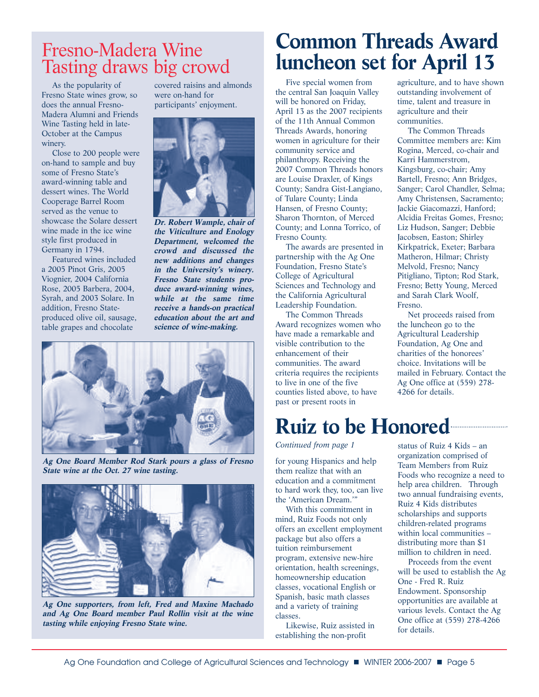### Fresno-Madera Wine Tasting draws big crowd

As the popularity of Fresno State wines grow, so does the annual Fresno-Madera Alumni and Friends Wine Tasting held in late-October at the Campus winery.

Close to 200 people were on-hand to sample and buy some of Fresno State's award-winning table and dessert wines. The World Cooperage Barrel Room served as the venue to showcase the Solare dessert wine made in the ice wine style first produced in Germany in 1794.

Featured wines included a 2005 Pinot Gris, 2005 Viognier, 2004 California Rose, 2005 Barbera, 2004, Syrah, and 2003 Solare. In addition, Fresno Stateproduced olive oil, sausage, table grapes and chocolate

covered raisins and almonds were on-hand for participants' enjoyment.



**Dr. Robert Wample, chair of the Viticulture and Enology Department, welcomed the crowd and discussed the new additions and changes in the University's winery. Fresno State students produce award-winning wines, while at the same time receive a hands-on practical education about the art and science of wine-making.**



**Ag One Board Member Rod Stark pours a glass of Fresno State wine at the Oct. 27 wine tasting.**



**Ag One supporters, from left, Fred and Maxine Machado and Ag One Board member Paul Rollin visit at the wine tasting while enjoying Fresno State wine.**

# **Common Threads Award luncheon set for April 13**

Five special women from the central San Joaquin Valley will be honored on Friday, April 13 as the 2007 recipients of the 11th Annual Common Threads Awards, honoring women in agriculture for their community service and philanthropy. Receiving the 2007 Common Threads honors are Louise Draxler, of Kings County; Sandra Gist-Langiano, of Tulare County; Linda Hansen, of Fresno County; Sharon Thornton, of Merced County; and Lonna Torrico, of Fresno County.

The awards are presented in partnership with the Ag One Foundation, Fresno State's College of Agricultural Sciences and Technology and the California Agricultural Leadership Foundation.

The Common Threads Award recognizes women who have made a remarkable and visible contribution to the enhancement of their communities. The award criteria requires the recipients to live in one of the five counties listed above, to have past or present roots in

agriculture, and to have shown outstanding involvement of time, talent and treasure in agriculture and their communities.

The Common Threads Committee members are: Kim Rogina, Merced, co-chair and Karri Hammerstrom, Kingsburg, co-chair; Amy Bartell, Fresno; Ann Bridges, Sanger; Carol Chandler, Selma; Amy Christensen, Sacramento; Jackie Giacomazzi, Hanford; Alcidia Freitas Gomes, Fresno; Liz Hudson, Sanger; Debbie Jacobsen, Easton; Shirley Kirkpatrick, Exeter; Barbara Matheron, Hilmar; Christy Melvold, Fresno; Nancy Pitigliano, Tipton; Rod Stark, Fresno; Betty Young, Merced and Sarah Clark Woolf, Fresno.

Net proceeds raised from the luncheon go to the Agricultural Leadership Foundation, Ag One and charities of the honorees' choice. Invitations will be mailed in February. Contact the Ag One office at (559) 278- 4266 for details.

## **Ruiz to be Honored**

*Continued from page 1*

for young Hispanics and help them realize that with an education and a commitment to hard work they, too, can live the 'American Dream.'"

With this commitment in mind, Ruiz Foods not only offers an excellent employment package but also offers a tuition reimbursement program, extensive new-hire orientation, health screenings, homeownership education classes, vocational English or Spanish, basic math classes and a variety of training classes.

Likewise, Ruiz assisted in establishing the non-profit

status of Ruiz 4 Kids – an organization comprised of Team Members from Ruiz Foods who recognize a need to help area children. Through two annual fundraising events, Ruiz 4 Kids distributes scholarships and supports children-related programs within local communities – distributing more than \$1 million to children in need.

Proceeds from the event will be used to establish the Ag One - Fred R. Ruiz Endowment. Sponsorship opportunities are available at various levels. Contact the Ag One office at (559) 278-4266 for details.